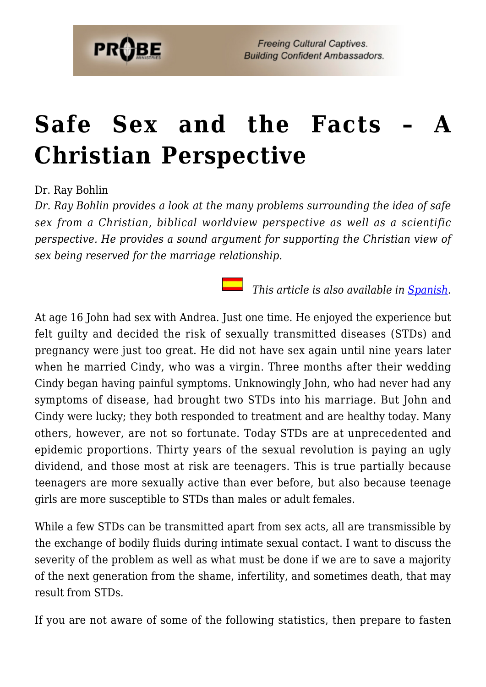

# **Safe Sex and the Facts [Christian Perspective](https://probe.org/safe-sex-and-the-facts/)**

Dr. Ray Bohlin

*Dr. Ray Bohlin provides a look at the many problems surrounding the idea of safe sex from a Christian, biblical worldview perspective as well as a scientific perspective. He provides a sound argument for supporting the Christian view of sex being reserved for the marriage relationship.*

*This article is also available in <u>Spanish</u>.* 

At age 16 John had sex with Andrea. Just one time. He enjoyed the experience but felt guilty and decided the risk of sexually transmitted diseases (STDs) and pregnancy were just too great. He did not have sex again until nine years later when he married Cindy, who was a virgin. Three months after their wedding Cindy began having painful symptoms. Unknowingly John, who had never had any symptoms of disease, had brought two STDs into his marriage. But John and Cindy were lucky; they both responded to treatment and are healthy today. Many others, however, are not so fortunate. Today STDs are at unprecedented and epidemic proportions. Thirty years of the sexual revolution is paying an ugly dividend, and those most at risk are teenagers. This is true partially because teenagers are more sexually active than ever before, but also because teenage girls are more susceptible to STDs than males or adult females.

While a few STDs can be transmitted apart from sex acts, all are transmissible by the exchange of bodily fluids during intimate sexual contact. I want to discuss the severity of the problem as well as what must be done if we are to save a majority of the next generation from the shame, infertility, and sometimes death, that may result from STDs.

If you are not aware of some of the following statistics, then prepare to fasten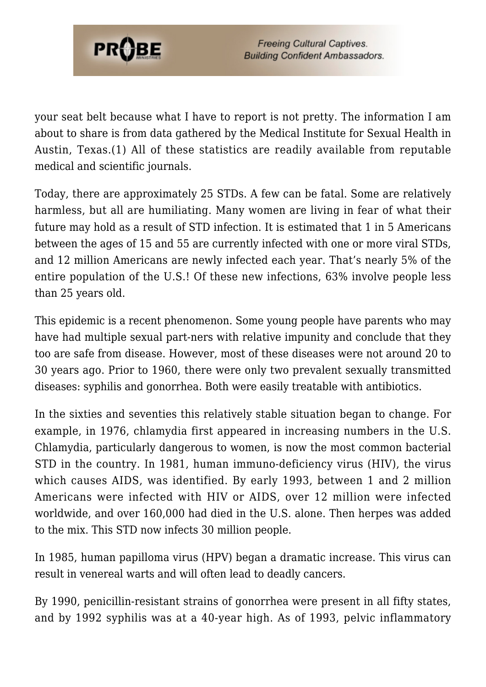

your seat belt because what I have to report is not pretty. The information I am about to share is from data gathered by the Medical Institute for Sexual Health in Austin, Texas.(1) All of these statistics are readily available from reputable medical and scientific journals.

Today, there are approximately 25 STDs. A few can be fatal. Some are relatively harmless, but all are humiliating. Many women are living in fear of what their future may hold as a result of STD infection. It is estimated that 1 in 5 Americans between the ages of 15 and 55 are currently infected with one or more viral STDs, and 12 million Americans are newly infected each year. That's nearly 5% of the entire population of the U.S.! Of these new infections, 63% involve people less than 25 years old.

This epidemic is a recent phenomenon. Some young people have parents who may have had multiple sexual part-ners with relative impunity and conclude that they too are safe from disease. However, most of these diseases were not around 20 to 30 years ago. Prior to 1960, there were only two prevalent sexually transmitted diseases: syphilis and gonorrhea. Both were easily treatable with antibiotics.

In the sixties and seventies this relatively stable situation began to change. For example, in 1976, chlamydia first appeared in increasing numbers in the U.S. Chlamydia, particularly dangerous to women, is now the most common bacterial STD in the country. In 1981, human immuno-deficiency virus (HIV), the virus which causes AIDS, was identified. By early 1993, between 1 and 2 million Americans were infected with HIV or AIDS, over 12 million were infected worldwide, and over 160,000 had died in the U.S. alone. Then herpes was added to the mix. This STD now infects 30 million people.

In 1985, human papilloma virus (HPV) began a dramatic increase. This virus can result in venereal warts and will often lead to deadly cancers.

By 1990, penicillin-resistant strains of gonorrhea were present in all fifty states, and by 1992 syphilis was at a 40-year high. As of 1993, pelvic inflammatory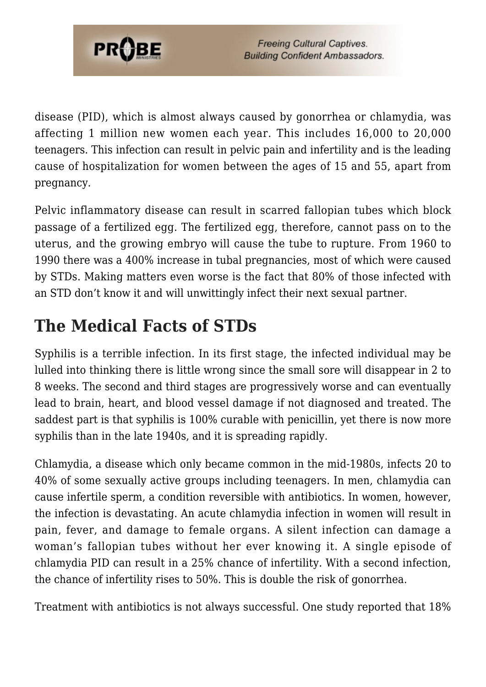

disease (PID), which is almost always caused by gonorrhea or chlamydia, was affecting 1 million new women each year. This includes 16,000 to 20,000 teenagers. This infection can result in pelvic pain and infertility and is the leading cause of hospitalization for women between the ages of 15 and 55, apart from pregnancy.

Pelvic inflammatory disease can result in scarred fallopian tubes which block passage of a fertilized egg. The fertilized egg, therefore, cannot pass on to the uterus, and the growing embryo will cause the tube to rupture. From 1960 to 1990 there was a 400% increase in tubal pregnancies, most of which were caused by STDs. Making matters even worse is the fact that 80% of those infected with an STD don't know it and will unwittingly infect their next sexual partner.

# **The Medical Facts of STDs**

Syphilis is a terrible infection. In its first stage, the infected individual may be lulled into thinking there is little wrong since the small sore will disappear in 2 to 8 weeks. The second and third stages are progressively worse and can eventually lead to brain, heart, and blood vessel damage if not diagnosed and treated. The saddest part is that syphilis is 100% curable with penicillin, yet there is now more syphilis than in the late 1940s, and it is spreading rapidly.

Chlamydia, a disease which only became common in the mid-1980s, infects 20 to 40% of some sexually active groups including teenagers. In men, chlamydia can cause infertile sperm, a condition reversible with antibiotics. In women, however, the infection is devastating. An acute chlamydia infection in women will result in pain, fever, and damage to female organs. A silent infection can damage a woman's fallopian tubes without her ever knowing it. A single episode of chlamydia PID can result in a 25% chance of infertility. With a second infection, the chance of infertility rises to 50%. This is double the risk of gonorrhea.

Treatment with antibiotics is not always successful. One study reported that 18%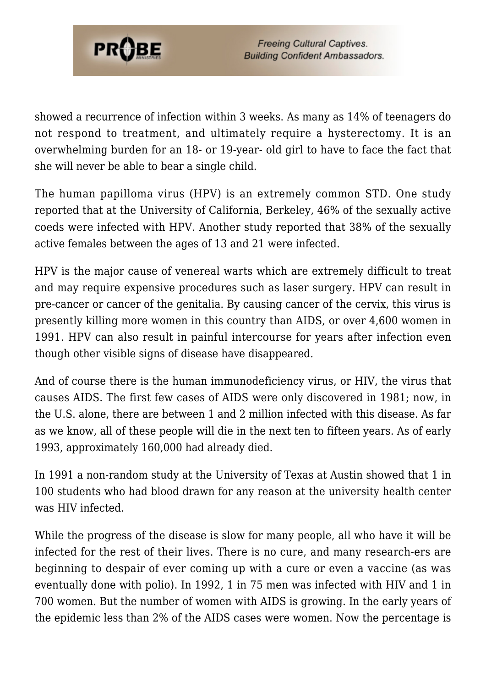

showed a recurrence of infection within 3 weeks. As many as 14% of teenagers do not respond to treatment, and ultimately require a hysterectomy. It is an overwhelming burden for an 18- or 19-year- old girl to have to face the fact that she will never be able to bear a single child.

The human papilloma virus (HPV) is an extremely common STD. One study reported that at the University of California, Berkeley, 46% of the sexually active coeds were infected with HPV. Another study reported that 38% of the sexually active females between the ages of 13 and 21 were infected.

HPV is the major cause of venereal warts which are extremely difficult to treat and may require expensive procedures such as laser surgery. HPV can result in pre-cancer or cancer of the genitalia. By causing cancer of the cervix, this virus is presently killing more women in this country than AIDS, or over 4,600 women in 1991. HPV can also result in painful intercourse for years after infection even though other visible signs of disease have disappeared.

And of course there is the human immunodeficiency virus, or HIV, the virus that causes AIDS. The first few cases of AIDS were only discovered in 1981; now, in the U.S. alone, there are between 1 and 2 million infected with this disease. As far as we know, all of these people will die in the next ten to fifteen years. As of early 1993, approximately 160,000 had already died.

In 1991 a non-random study at the University of Texas at Austin showed that 1 in 100 students who had blood drawn for any reason at the university health center was HIV infected.

While the progress of the disease is slow for many people, all who have it will be infected for the rest of their lives. There is no cure, and many research-ers are beginning to despair of ever coming up with a cure or even a vaccine (as was eventually done with polio). In 1992, 1 in 75 men was infected with HIV and 1 in 700 women. But the number of women with AIDS is growing. In the early years of the epidemic less than 2% of the AIDS cases were women. Now the percentage is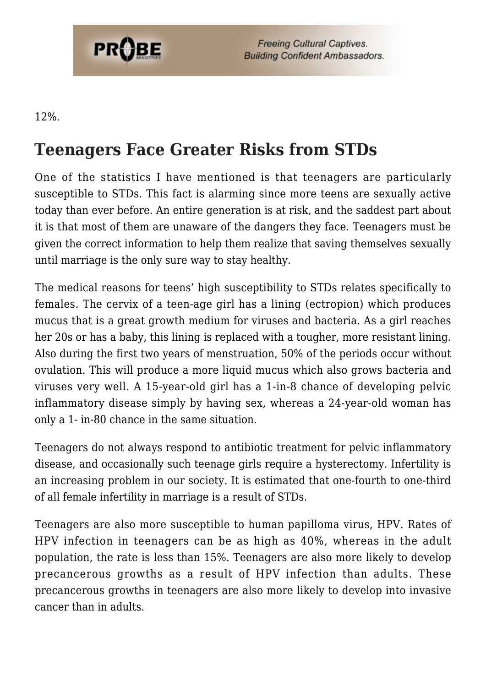

**Freeing Cultural Captives. Building Confident Ambassadors.** 

12%.

# **Teenagers Face Greater Risks from STDs**

One of the statistics I have mentioned is that teenagers are particularly susceptible to STDs. This fact is alarming since more teens are sexually active today than ever before. An entire generation is at risk, and the saddest part about it is that most of them are unaware of the dangers they face. Teenagers must be given the correct information to help them realize that saving themselves sexually until marriage is the only sure way to stay healthy.

The medical reasons for teens' high susceptibility to STDs relates specifically to females. The cervix of a teen-age girl has a lining (ectropion) which produces mucus that is a great growth medium for viruses and bacteria. As a girl reaches her 20s or has a baby, this lining is replaced with a tougher, more resistant lining. Also during the first two years of menstruation, 50% of the periods occur without ovulation. This will produce a more liquid mucus which also grows bacteria and viruses very well. A 15-year-old girl has a 1-in-8 chance of developing pelvic inflammatory disease simply by having sex, whereas a 24-year-old woman has only a 1- in-80 chance in the same situation.

Teenagers do not always respond to antibiotic treatment for pelvic inflammatory disease, and occasionally such teenage girls require a hysterectomy. Infertility is an increasing problem in our society. It is estimated that one-fourth to one-third of all female infertility in marriage is a result of STDs.

Teenagers are also more susceptible to human papilloma virus, HPV. Rates of HPV infection in teenagers can be as high as 40%, whereas in the adult population, the rate is less than 15%. Teenagers are also more likely to develop precancerous growths as a result of HPV infection than adults. These precancerous growths in teenagers are also more likely to develop into invasive cancer than in adults.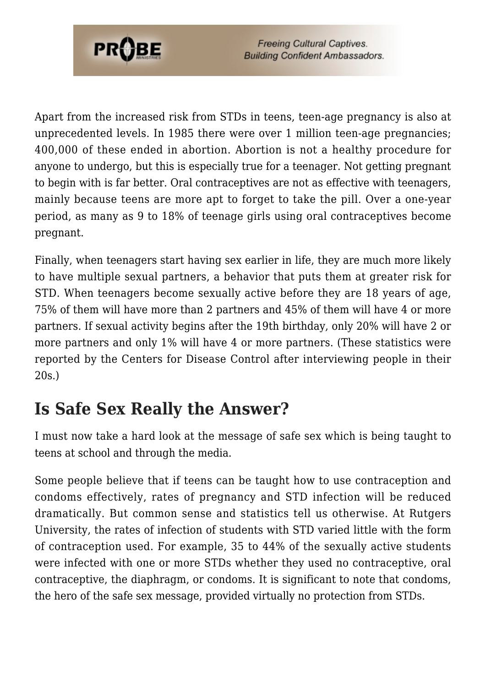

Apart from the increased risk from STDs in teens, teen-age pregnancy is also at unprecedented levels. In 1985 there were over 1 million teen-age pregnancies; 400,000 of these ended in abortion. Abortion is not a healthy procedure for anyone to undergo, but this is especially true for a teenager. Not getting pregnant to begin with is far better. Oral contraceptives are not as effective with teenagers, mainly because teens are more apt to forget to take the pill. Over a one-year period, as many as 9 to 18% of teenage girls using oral contraceptives become pregnant.

Finally, when teenagers start having sex earlier in life, they are much more likely to have multiple sexual partners, a behavior that puts them at greater risk for STD. When teenagers become sexually active before they are 18 years of age, 75% of them will have more than 2 partners and 45% of them will have 4 or more partners. If sexual activity begins after the 19th birthday, only 20% will have 2 or more partners and only 1% will have 4 or more partners. (These statistics were reported by the Centers for Disease Control after interviewing people in their 20s.)

### **Is Safe Sex Really the Answer?**

I must now take a hard look at the message of safe sex which is being taught to teens at school and through the media.

Some people believe that if teens can be taught how to use contraception and condoms effectively, rates of pregnancy and STD infection will be reduced dramatically. But common sense and statistics tell us otherwise. At Rutgers University, the rates of infection of students with STD varied little with the form of contraception used. For example, 35 to 44% of the sexually active students were infected with one or more STDs whether they used no contraceptive, oral contraceptive, the diaphragm, or condoms. It is significant to note that condoms, the hero of the safe sex message, provided virtually no protection from STDs.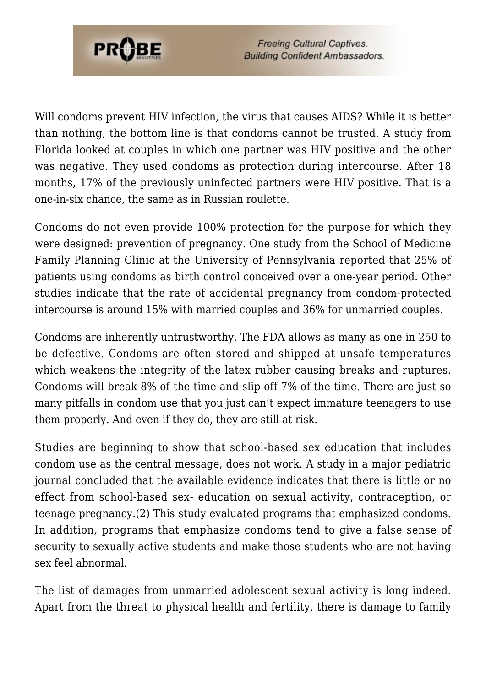

**Freeing Cultural Captives. Building Confident Ambassadors.** 

Will condoms prevent HIV infection, the virus that causes AIDS? While it is better than nothing, the bottom line is that condoms cannot be trusted. A study from Florida looked at couples in which one partner was HIV positive and the other was negative. They used condoms as protection during intercourse. After 18 months, 17% of the previously uninfected partners were HIV positive. That is a one-in-six chance, the same as in Russian roulette.

Condoms do not even provide 100% protection for the purpose for which they were designed: prevention of pregnancy. One study from the School of Medicine Family Planning Clinic at the University of Pennsylvania reported that 25% of patients using condoms as birth control conceived over a one-year period. Other studies indicate that the rate of accidental pregnancy from condom-protected intercourse is around 15% with married couples and 36% for unmarried couples.

Condoms are inherently untrustworthy. The FDA allows as many as one in 250 to be defective. Condoms are often stored and shipped at unsafe temperatures which weakens the integrity of the latex rubber causing breaks and ruptures. Condoms will break 8% of the time and slip off 7% of the time. There are just so many pitfalls in condom use that you just can't expect immature teenagers to use them properly. And even if they do, they are still at risk.

Studies are beginning to show that school-based sex education that includes condom use as the central message, does not work. A study in a major pediatric journal concluded that the available evidence indicates that there is little or no effect from school-based sex- education on sexual activity, contraception, or teenage pregnancy.(2) This study evaluated programs that emphasized condoms. In addition, programs that emphasize condoms tend to give a false sense of security to sexually active students and make those students who are not having sex feel abnormal.

The list of damages from unmarried adolescent sexual activity is long indeed. Apart from the threat to physical health and fertility, there is damage to family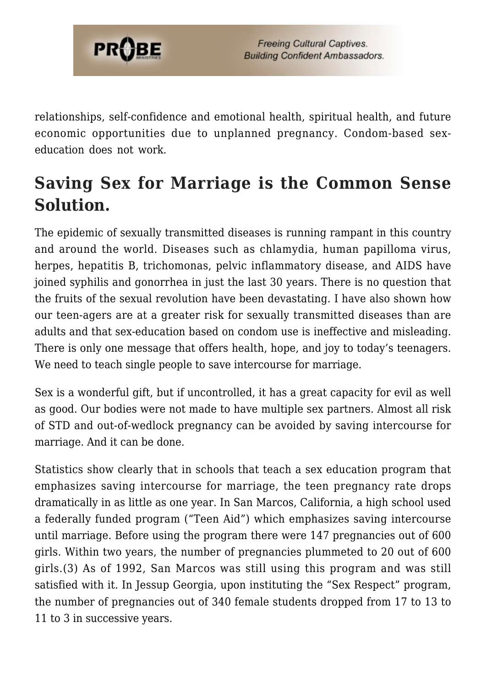

relationships, self-confidence and emotional health, spiritual health, and future economic opportunities due to unplanned pregnancy. Condom-based sexeducation does not work.

# **Saving Sex for Marriage is the Common Sense Solution.**

The epidemic of sexually transmitted diseases is running rampant in this country and around the world. Diseases such as chlamydia, human papilloma virus, herpes, hepatitis B, trichomonas, pelvic inflammatory disease, and AIDS have joined syphilis and gonorrhea in just the last 30 years. There is no question that the fruits of the sexual revolution have been devastating. I have also shown how our teen-agers are at a greater risk for sexually transmitted diseases than are adults and that sex-education based on condom use is ineffective and misleading. There is only one message that offers health, hope, and joy to today's teenagers. We need to teach single people to save intercourse for marriage.

Sex is a wonderful gift, but if uncontrolled, it has a great capacity for evil as well as good. Our bodies were not made to have multiple sex partners. Almost all risk of STD and out-of-wedlock pregnancy can be avoided by saving intercourse for marriage. And it can be done.

Statistics show clearly that in schools that teach a sex education program that emphasizes saving intercourse for marriage, the teen pregnancy rate drops dramatically in as little as one year. In San Marcos, California, a high school used a federally funded program ("Teen Aid") which emphasizes saving intercourse until marriage. Before using the program there were 147 pregnancies out of 600 girls. Within two years, the number of pregnancies plummeted to 20 out of 600 girls.(3) As of 1992, San Marcos was still using this program and was still satisfied with it. In Jessup Georgia, upon instituting the "Sex Respect" program, the number of pregnancies out of 340 female students dropped from 17 to 13 to 11 to 3 in successive years.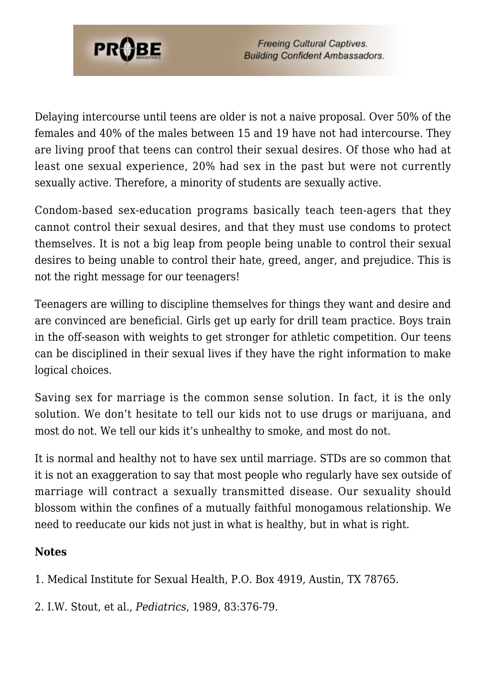

Delaying intercourse until teens are older is not a naive proposal. Over 50% of the females and 40% of the males between 15 and 19 have not had intercourse. They are living proof that teens can control their sexual desires. Of those who had at least one sexual experience, 20% had sex in the past but were not currently sexually active. Therefore, a minority of students are sexually active.

Condom-based sex-education programs basically teach teen-agers that they cannot control their sexual desires, and that they must use condoms to protect themselves. It is not a big leap from people being unable to control their sexual desires to being unable to control their hate, greed, anger, and prejudice. This is not the right message for our teenagers!

Teenagers are willing to discipline themselves for things they want and desire and are convinced are beneficial. Girls get up early for drill team practice. Boys train in the off-season with weights to get stronger for athletic competition. Our teens can be disciplined in their sexual lives if they have the right information to make logical choices.

Saving sex for marriage is the common sense solution. In fact, it is the only solution. We don't hesitate to tell our kids not to use drugs or marijuana, and most do not. We tell our kids it's unhealthy to smoke, and most do not.

It is normal and healthy not to have sex until marriage. STDs are so common that it is not an exaggeration to say that most people who regularly have sex outside of marriage will contract a sexually transmitted disease. Our sexuality should blossom within the confines of a mutually faithful monogamous relationship. We need to reeducate our kids not just in what is healthy, but in what is right.

#### **Notes**

1. Medical Institute for Sexual Health, P.O. Box 4919, Austin, TX 78765.

2. I.W. Stout, et al., *Pediatrics*, 1989, 83:376-79.